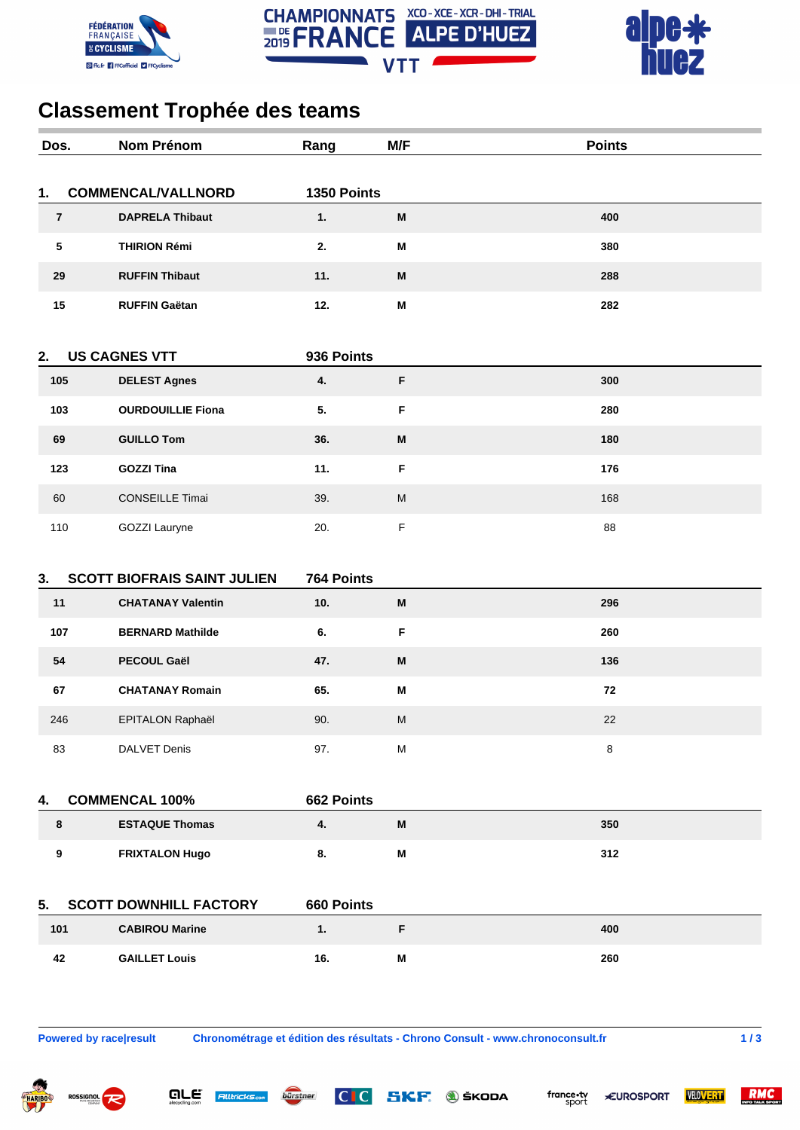





## **Classement Trophée des teams**

| Dos.                       | Nom Prénom                                                     | Rang              | M/F                       | <b>Points</b> |
|----------------------------|----------------------------------------------------------------|-------------------|---------------------------|---------------|
|                            |                                                                |                   |                           |               |
| 1.                         | <b>COMMENCAL/VALLNORD</b>                                      | 1350 Points       |                           |               |
| $\overline{7}$             | <b>DAPRELA Thibaut</b>                                         | 1.                | M                         | 400           |
| ${\bf 5}$                  | <b>THIRION Rémi</b>                                            | 2.                | M                         | 380           |
| 29                         | <b>RUFFIN Thibaut</b>                                          | 11.               | M                         | 288           |
| 15                         | <b>RUFFIN Gaëtan</b>                                           | 12.               | $\boldsymbol{\mathsf{M}}$ | 282           |
| <b>US CAGNES VTT</b><br>2. |                                                                | 936 Points        |                           |               |
| 105                        | <b>DELEST Agnes</b>                                            | 4.                | F                         | 300           |
| 103                        | <b>OURDOUILLIE Fiona</b>                                       | 5.                | $\mathsf F$               | 280           |
| 69                         | <b>GUILLO Tom</b>                                              | 36.               | M                         | 180           |
|                            | <b>GOZZI Tina</b>                                              | 11.               | $\mathsf F$               | 176           |
| 123                        |                                                                |                   |                           |               |
| 60                         | <b>CONSEILLE Timai</b>                                         | 39.               | ${\sf M}$                 | 168           |
| 110                        | GOZZI Lauryne                                                  | 20.               | $\mathsf F$               | 88            |
|                            |                                                                |                   |                           |               |
| 3.<br>11                   | <b>SCOTT BIOFRAIS SAINT JULIEN</b><br><b>CHATANAY Valentin</b> | 764 Points<br>10. | M                         | 296           |
|                            |                                                                |                   |                           |               |
| 107                        | <b>BERNARD Mathilde</b>                                        | 6.                | F                         | 260           |
| 54                         | <b>PECOUL Gaël</b>                                             | 47.               | М                         | 136           |
| 67                         | <b>CHATANAY Romain</b>                                         | 65.               | M                         | 72            |
| 246                        | EPITALON Raphaël                                               | 90.               | M                         | 22            |
| 83                         | <b>DALVET Denis</b>                                            | 97.               | ${\sf M}$                 | 8             |
|                            |                                                                |                   |                           |               |
| 4.                         | <b>COMMENCAL 100%</b>                                          | 662 Points        |                           |               |
| 8                          | <b>ESTAQUE Thomas</b>                                          | 4.                | M                         | 350           |
| 9                          | <b>FRIXTALON Hugo</b>                                          | 8.                | M                         | 312           |
|                            |                                                                |                   |                           |               |
| 5.                         | <b>SCOTT DOWNHILL FACTORY</b>                                  | 660 Points        |                           |               |
| 101                        | <b>CABIROU Marine</b>                                          | 1.                | F                         | 400           |
| 42                         | <b>GAILLET Louis</b>                                           | 16.               | M                         | 260           |
|                            |                                                                |                   |                           |               |
|                            |                                                                |                   |                           |               |

 $\overline{\mathbf{q}}$ *LE*  $\overline{\mathbf{r}}$   $\overline{\mathbf{r}}$   $\overline{\mathbf{r}}$   $\overline{\mathbf{r}}$   $\overline{\mathbf{r}}$   $\overline{\mathbf{r}}$   $\overline{\mathbf{r}}$   $\overline{\mathbf{r}}$   $\overline{\mathbf{r}}$   $\overline{\mathbf{r}}$   $\overline{\mathbf{r}}$   $\overline{\mathbf{r}}$   $\overline{\mathbf{r}}$   $\overline{\mathbf{r}}$   $\overline{\mathbf{r}}$   $\overline{\mathbf{r}}$   $\overline{\mathbf{r}}$ 

bürstner

**Powered by race|result Chronométrage et édition des résultats - Chrono Consult - www.chronoconsult.fr 1 / 3**

 $|C|C|$ 





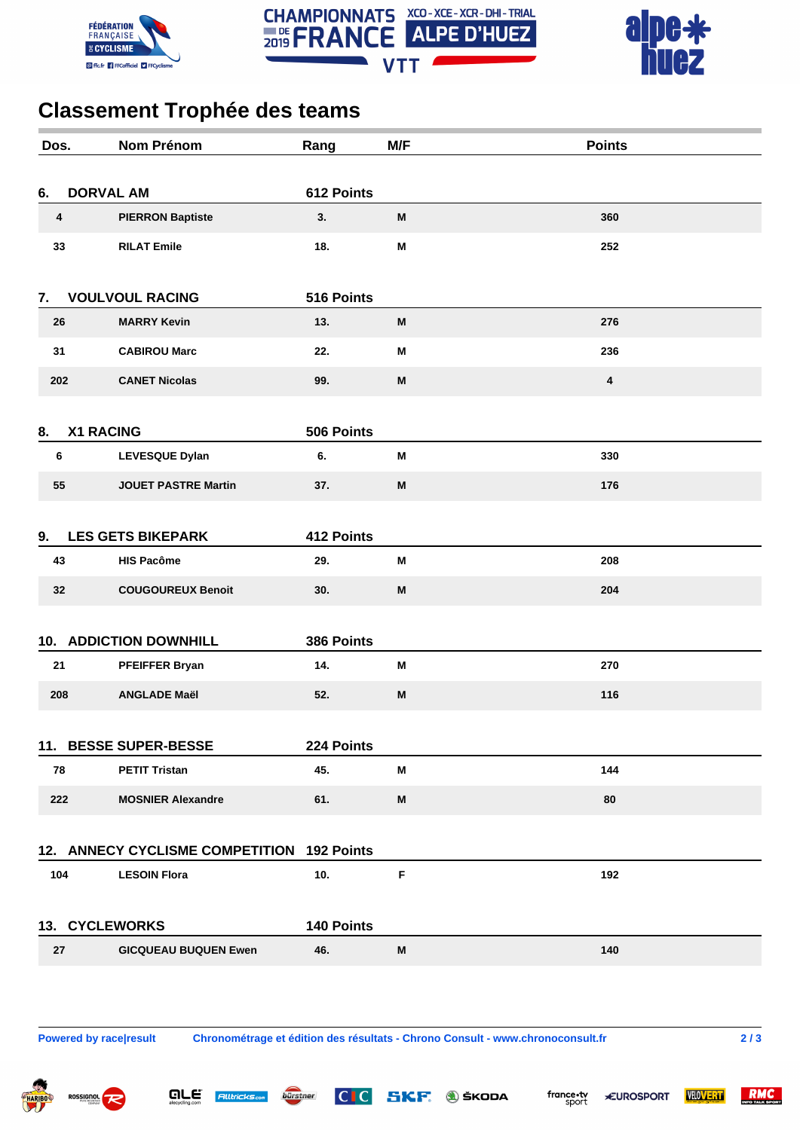





## **Classement Trophée des teams**

| Dos.                                       |                  | <b>Nom Prénom</b>           | Rang       | M/F | <b>Points</b>           |  |  |
|--------------------------------------------|------------------|-----------------------------|------------|-----|-------------------------|--|--|
| <b>DORVAL AM</b><br>612 Points<br>6.       |                  |                             |            |     |                         |  |  |
|                                            | 4                | <b>PIERRON Baptiste</b>     | 3.         | M   | 360                     |  |  |
|                                            | 33               | <b>RILAT Emile</b>          | 18.        | M   | 252                     |  |  |
| 7.                                         |                  | <b>VOULVOUL RACING</b>      | 516 Points |     |                         |  |  |
|                                            | 26               | <b>MARRY Kevin</b>          | 13.        | M   | 276                     |  |  |
|                                            | 31               | <b>CABIROU Marc</b>         | 22.        | M   | 236                     |  |  |
|                                            | 202              | <b>CANET Nicolas</b>        | 99.        | M   | $\overline{\mathbf{4}}$ |  |  |
| 8.                                         | <b>X1 RACING</b> |                             | 506 Points |     |                         |  |  |
|                                            | 6                | <b>LEVESQUE Dylan</b>       | 6.         | M   | 330                     |  |  |
|                                            | 55               | <b>JOUET PASTRE Martin</b>  | 37.        | M   | 176                     |  |  |
|                                            |                  |                             |            |     |                         |  |  |
| 9.                                         |                  | <b>LES GETS BIKEPARK</b>    | 412 Points |     |                         |  |  |
|                                            | 43               | <b>HIS Pacôme</b>           | 29.        | M   | 208                     |  |  |
|                                            | 32               | <b>COUGOUREUX Benoit</b>    | 30.        | M   | 204                     |  |  |
| <b>10. ADDICTION DOWNHILL</b>              |                  |                             | 386 Points |     |                         |  |  |
|                                            | 21               | PFEIFFER Bryan              | 14.        | M   | 270                     |  |  |
|                                            | 208              | <b>ANGLADE Maël</b>         | 52.        | M   | 116                     |  |  |
|                                            |                  |                             |            |     |                         |  |  |
|                                            |                  | 11. BESSE SUPER-BESSE       | 224 Points |     |                         |  |  |
|                                            | 78               | <b>PETIT Tristan</b>        | 45.        | M   | 144                     |  |  |
|                                            | 222              | <b>MOSNIER Alexandre</b>    | 61.        | M   | 80                      |  |  |
|                                            |                  |                             |            |     |                         |  |  |
| 12. ANNECY CYCLISME COMPETITION 192 Points |                  |                             |            |     |                         |  |  |
|                                            | 104              | <b>LESOIN Flora</b>         | 10.        | F   | 192                     |  |  |
| 13. CYCLEWORKS                             |                  | 140 Points                  |            |     |                         |  |  |
|                                            | 27               | <b>GICQUEAU BUQUEN Ewen</b> | 46.        | M   | 140                     |  |  |
|                                            |                  |                             |            |     |                         |  |  |
|                                            |                  |                             |            |     |                         |  |  |
|                                            |                  |                             |            |     |                         |  |  |

are

**Alltricks.com** 

bürstner

**Powered by race|result Chronométrage et édition des résultats - Chrono Consult - www.chronoconsult.fr 2 / 3**

 $|C|C|$